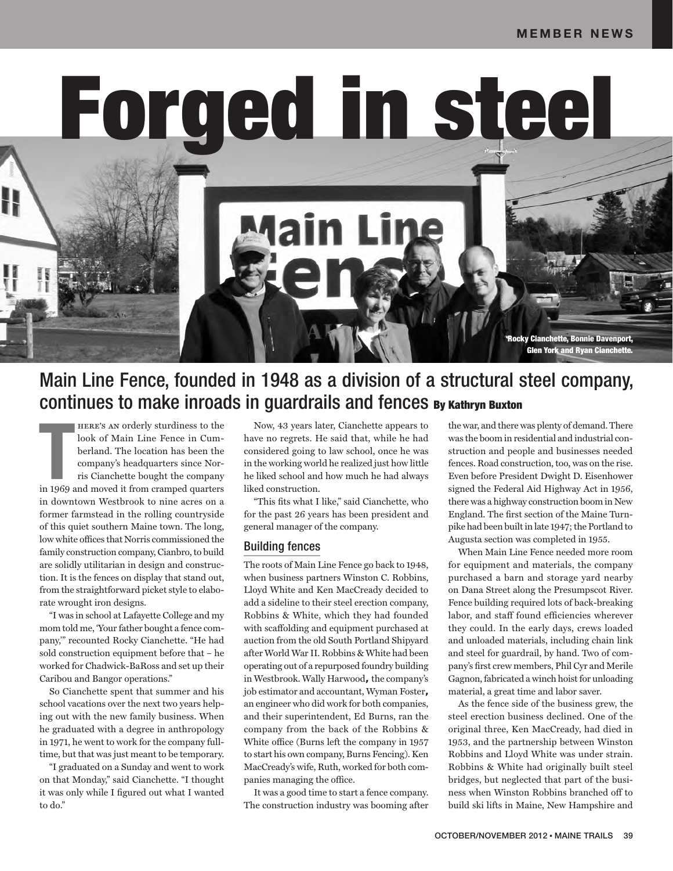Forged in steel

**Main Ling** 

# Main Line Fence, founded in 1948 as a division of a structural steel company, continues to make inroads in guardrails and fences By Kathryn Buxton

**THERE'S AN orderly sturdiness to the look of Main Line Fence in Cumberland. The location has been the company's headquarters since Norris Cianchette bought the company in 1969 and moved it from cramped quarters** here's an orderly sturdiness to the look of Main Line Fence in Cumberland. The location has been the company's headquarters since Norris Cianchette bought the company in downtown Westbrook to nine acres on a former farmstead in the rolling countryside of this quiet southern Maine town. The long, low white offices that Norris commissioned the family construction company, Cianbro, to build are solidly utilitarian in design and construction. It is the fences on display that stand out, from the straightforward picket style to elaborate wrought iron designs.

"I was in school at Lafayette College and my mom told me, 'Your father bought a fence company,'" recounted Rocky Cianchette. "He had sold construction equipment before that – he worked for Chadwick-BaRoss and set up their Caribou and Bangor operations."

So Cianchette spent that summer and his school vacations over the next two years helping out with the new family business. When he graduated with a degree in anthropology in 1971, he went to work for the company fulltime, but that was just meant to be temporary.

"I graduated on a Sunday and went to work on that Monday," said Cianchette. "I thought it was only while I figured out what I wanted to do."

Now, 43 years later, Cianchette appears to have no regrets. He said that, while he had considered going to law school, once he was in the working world he realized just how little he liked school and how much he had always liked construction.

"This fits what I like," said Cianchette, who for the past 26 years has been president and general manager of the company.

### Building fences

The roots of Main Line Fence go back to 1948, when business partners Winston C. Robbins, Lloyd White and Ken MacCready decided to add a sideline to their steel erection company, Robbins & White, which they had founded with scaffolding and equipment purchased at auction from the old South Portland Shipyard after World War II. Robbins & White had been operating out of a repurposed foundry building in Westbrook. Wally Harwood**,** the company's job estimator and accountant, Wyman Foster**,**  an engineer who did work for both companies, and their superintendent, Ed Burns, ran the company from the back of the Robbins & White office (Burns left the company in 1957 to start his own company, Burns Fencing). Ken MacCready's wife, Ruth, worked for both companies managing the office.

It was a good time to start a fence company. The construction industry was booming after the war, and there was plenty of demand. There was the boom in residential and industrial construction and people and businesses needed fences. Road construction, too, was on the rise. Even before President Dwight D. Eisenhower signed the Federal Aid Highway Act in 1956, there was a highway construction boom in New England. The first section of the Maine Turnpike had been built in late 1947; the Portland to Augusta section was completed in 1955.

Rocky Cianchette, Bonnie Davenport, Glen York and Ryan Cianchette.

When Main Line Fence needed more room for equipment and materials, the company purchased a barn and storage yard nearby on Dana Street along the Presumpscot River. Fence building required lots of back-breaking labor, and staff found efficiencies wherever they could. In the early days, crews loaded and unloaded materials, including chain link and steel for guardrail, by hand. Two of company's first crew members, Phil Cyr and Merile Gagnon, fabricated a winch hoist for unloading material, a great time and labor saver.

As the fence side of the business grew, the steel erection business declined. One of the original three, Ken MacCready, had died in 1953, and the partnership between Winston Robbins and Lloyd White was under strain. Robbins & White had originally built steel bridges, but neglected that part of the business when Winston Robbins branched off to build ski lifts in Maine, New Hampshire and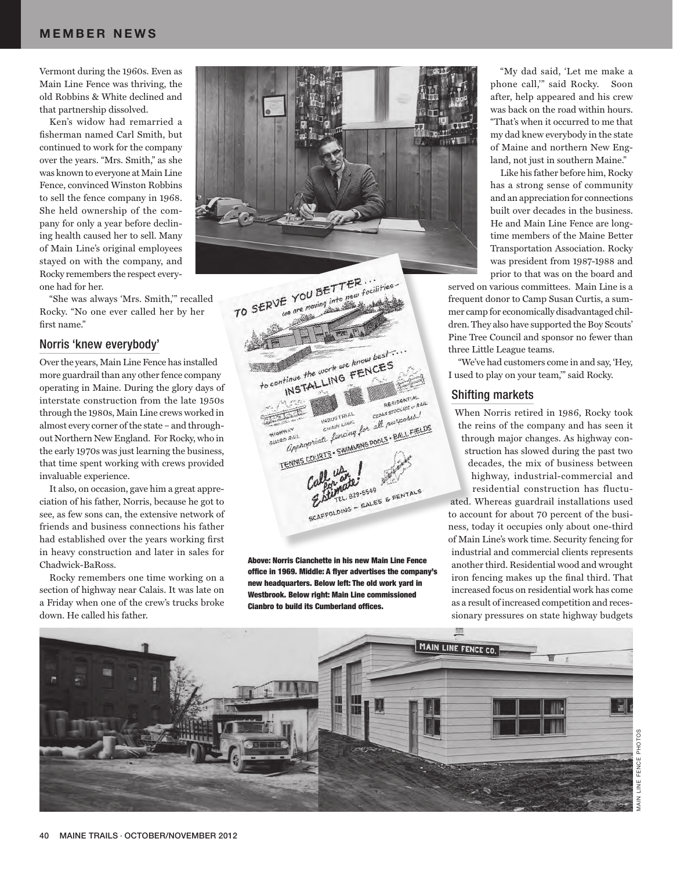## **MEMBER NEWS**

Vermont during the 1960s. Even as Main Line Fence was thriving, the old Robbins & White declined and that partnership dissolved.

Ken's widow had remarried a fisherman named Carl Smith, but continued to work for the company over the years. "Mrs. Smith," as she was known to everyone at Main Line Fence, convinced Winston Robbins to sell the fence company in 1968. She held ownership of the company for only a year before declining health caused her to sell. Many of Main Line's original employees stayed on with the company, and Rocky remembers the respect everyone had for her.

"She was always 'Mrs. Smith,'" recalled Rocky. "No one ever called her by her first name."

#### Norris 'knew everybody'

Over the years, Main Line Fence has installed more guardrail than any other fence company operating in Maine. During the glory days of interstate construction from the late 1950s through the 1980s, Main Line crews worked in almost every corner of the state – and throughout Northern New England. For Rocky, who in the early 1970s was just learning the business, that time spent working with crews provided invaluable experience.

It also, on occasion, gave him a great appreciation of his father, Norris, because he got to see, as few sons can, the extensive network of friends and business connections his father had established over the years working first in heavy construction and later in sales for Chadwick-BaRoss.

Rocky remembers one time working on a section of highway near Calais. It was late on a Friday when one of the crew's trucks broke down. He called his father.



TO SERVE YOU BETTER. YOU BETTER...<br>are moving into new facilities to continue the work we know best. tinue the work we know best.<br>tinue the work we know best.<br>INSTALLING FENCES RESIDENTIAL RESIDENTIAL CEDITE SWIMMING DOOLS - BALL FIELD CRAIN LINE CONTROLLED CONTROLLED TENNIS COURTS - SWIMMING POOLS - BALL FIELDS HIGHWARD RAIL MOTO SCAFFOLDING - SALES & RENTALS

Above: Norris Cianchette in his new Main Line Fence office in 1969. Middle: A flyer advertises the company's new headquarters. Below left: The old work yard in Westbrook. Below right: Main Line commissioned Cianbro to build its Cumberland offices.

"My dad said, 'Let me make a phone call,'" said Rocky. Soon after, help appeared and his crew was back on the road within hours. "That's when it occurred to me that my dad knew everybody in the state of Maine and northern New England, not just in southern Maine."

Like his father before him, Rocky has a strong sense of community and an appreciation for connections built over decades in the business. He and Main Line Fence are longtime members of the Maine Better Transportation Association. Rocky was president from 1987-1988 and prior to that was on the board and

served on various committees. Main Line is a frequent donor to Camp Susan Curtis, a summer camp for economically disadvantaged children. They also have supported the Boy Scouts' Pine Tree Council and sponsor no fewer than three Little League teams.

"We've had customers come in and say, 'Hey, I used to play on your team,'" said Rocky.

#### Shifting markets

When Norris retired in 1986, Rocky took the reins of the company and has seen it through major changes. As highway construction has slowed during the past two decades, the mix of business between highway, industrial-commercial and residential construction has fluctu-

ated. Whereas guardrail installations used to account for about 70 percent of the business, today it occupies only about one-third of Main Line's work time. Security fencing for industrial and commercial clients represents another third. Residential wood and wrought iron fencing makes up the final third. That increased focus on residential work has come as a result of increased competition and recessionary pressures on state highway budgets

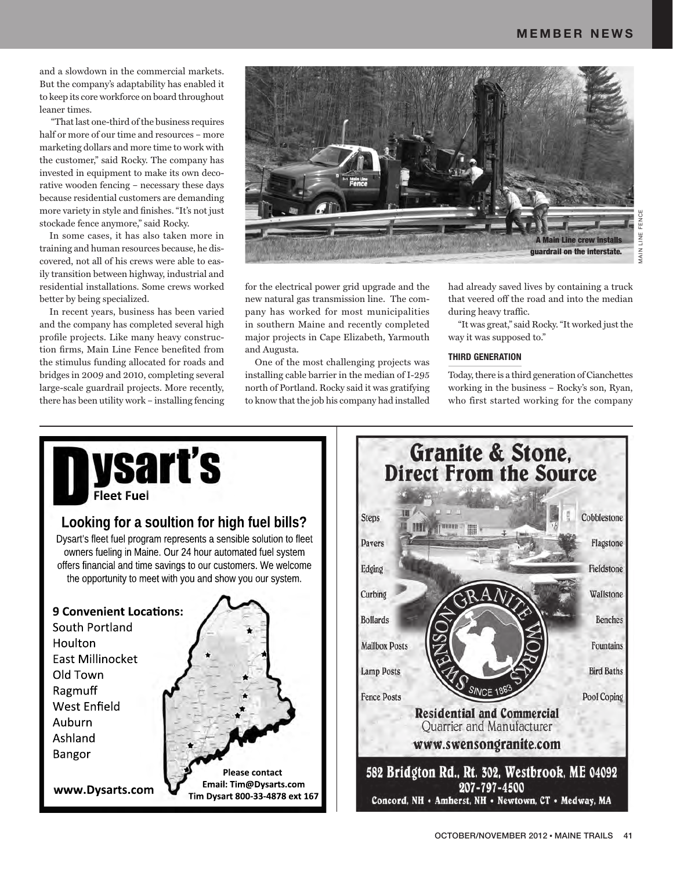and a slowdown in the commercial markets. But the company's adaptability has enabled it to keep its core workforce on board throughout leaner times.

 "That last one-third of the business requires half or more of our time and resources – more marketing dollars and more time to work with the customer," said Rocky. The company has invested in equipment to make its own decorative wooden fencing – necessary these days because residential customers are demanding more variety in style and finishes. "It's not just stockade fence anymore," said Rocky.

In some cases, it has also taken more in training and human resources because, he discovered, not all of his crews were able to easily transition between highway, industrial and residential installations. Some crews worked better by being specialized.

In recent years, business has been varied and the company has completed several high profile projects. Like many heavy construction firms, Main Line Fence benefited from the stimulus funding allocated for roads and bridges in 2009 and 2010, completing several large-scale guardrail projects. More recently, there has been utility work – installing fencing



for the electrical power grid upgrade and the new natural gas transmission line. The company has worked for most municipalities in southern Maine and recently completed major projects in Cape Elizabeth, Yarmouth and Augusta.

One of the most challenging projects was installing cable barrier in the median of I-295 north of Portland. Rocky said it was gratifying to know that the job his company had installed

had already saved lives by containing a truck that veered off the road and into the median during heavy traffic.

"It was great," said Rocky. "It worked just the way it was supposed to."

#### **THIRD GENERATION**

Today, there is a third generation of Cianchettes working in the business – Rocky's son, Ryan, who first started working for the company